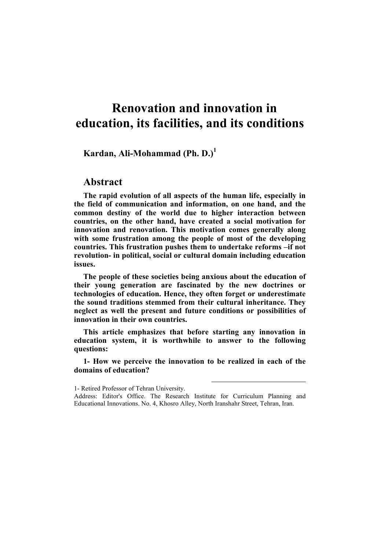## **Renovation and innovation in education, its facilities, and its conditions**

**Kardan, Ali-Mohammad (Ph. D.)<sup>1</sup>**

## **Abstract**

**The rapid evolution of all aspects of the human life, especially in the field of communication and information, on one hand, and the common destiny of the world due to higher interaction between countries, on the other hand, have created a social motivation for innovation and renovation. This motivation comes generally along with some frustration among the people of most of the developing countries. This frustration pushes them to undertake reforms –if not revolution- in political, social or cultural domain including education issues.** 

**The people of these societies being anxious about the education of their young generation are fascinated by the new doctrines or technologies of education. Hence, they often forget or underestimate the sound traditions stemmed from their cultural inheritance. They neglect as well the present and future conditions or possibilities of innovation in their own countries.** 

**This article emphasizes that before starting any innovation in education system, it is worthwhile to answer to the following questions:** 

**1- How we perceive the innovation to be realized in each of the domains of education?** 

 $\overline{a}$ 

<sup>1-</sup> Retired Professor of Tehran University.

Address: Editor's Office. The Research Institute for Curriculum Planning and Educational Innovations. No. 4, Khosro Alley, North Iranshahr Street, Tehran, Iran.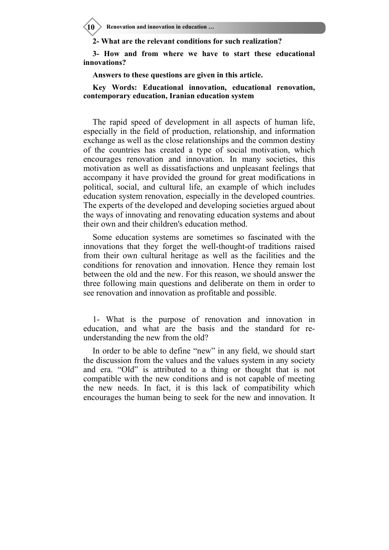**10 > Renovation and innovation in education ...** 

**2- What are the relevant conditions for such realization?** 

**3- How and from where we have to start these educational innovations?** 

**Answers to these questions are given in this article.** 

**Key Words: Educational innovation, educational renovation, contemporary education, Iranian education system** 

The rapid speed of development in all aspects of human life, especially in the field of production, relationship, and information exchange as well as the close relationships and the common destiny of the countries has created a type of social motivation, which encourages renovation and innovation. In many societies, this motivation as well as dissatisfactions and unpleasant feelings that accompany it have provided the ground for great modifications in political, social, and cultural life, an example of which includes education system renovation, especially in the developed countries. The experts of the developed and developing societies argued about the ways of innovating and renovating education systems and about their own and their children's education method.

Some education systems are sometimes so fascinated with the innovations that they forget the well-thought-of traditions raised from their own cultural heritage as well as the facilities and the conditions for renovation and innovation. Hence they remain lost between the old and the new. For this reason, we should answer the three following main questions and deliberate on them in order to see renovation and innovation as profitable and possible.

1- What is the purpose of renovation and innovation in education, and what are the basis and the standard for reunderstanding the new from the old?

In order to be able to define "new" in any field, we should start the discussion from the values and the values system in any society and era. "Old" is attributed to a thing or thought that is not compatible with the new conditions and is not capable of meeting the new needs. In fact, it is this lack of compatibility which encourages the human being to seek for the new and innovation. It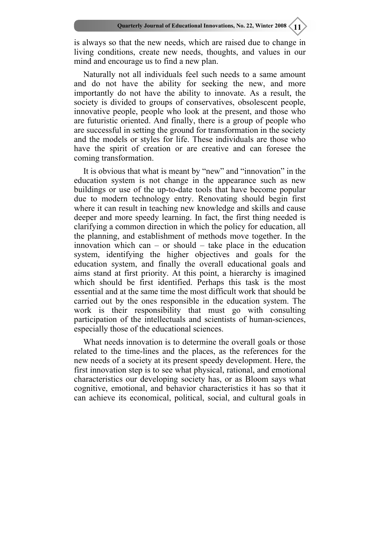is always so that the new needs, which are raised due to change in living conditions, create new needs, thoughts, and values in our mind and encourage us to find a new plan.

Naturally not all individuals feel such needs to a same amount and do not have the ability for seeking the new, and more importantly do not have the ability to innovate. As a result, the society is divided to groups of conservatives, obsolescent people, innovative people, people who look at the present, and those who are futuristic oriented. And finally, there is a group of people who are successful in setting the ground for transformation in the society and the models or styles for life. These individuals are those who have the spirit of creation or are creative and can foresee the coming transformation.

It is obvious that what is meant by "new" and "innovation" in the education system is not change in the appearance such as new buildings or use of the up-to-date tools that have become popular due to modern technology entry. Renovating should begin first where it can result in teaching new knowledge and skills and cause deeper and more speedy learning. In fact, the first thing needed is clarifying a common direction in which the policy for education, all the planning, and establishment of methods move together. In the innovation which can – or should – take place in the education system, identifying the higher objectives and goals for the education system, and finally the overall educational goals and aims stand at first priority. At this point, a hierarchy is imagined which should be first identified. Perhaps this task is the most essential and at the same time the most difficult work that should be carried out by the ones responsible in the education system. The work is their responsibility that must go with consulting participation of the intellectuals and scientists of human-sciences, especially those of the educational sciences.

What needs innovation is to determine the overall goals or those related to the time-lines and the places, as the references for the new needs of a society at its present speedy development. Here, the first innovation step is to see what physical, rational, and emotional characteristics our developing society has, or as Bloom says what cognitive, emotional, and behavior characteristics it has so that it can achieve its economical, political, social, and cultural goals in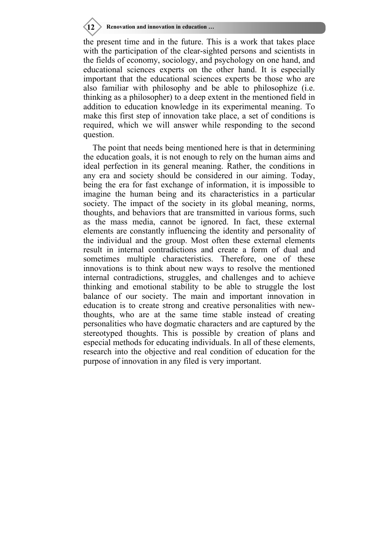**12 Renovation and innovation in education …**

the present time and in the future. This is a work that takes place with the participation of the clear-sighted persons and scientists in the fields of economy, sociology, and psychology on one hand, and educational sciences experts on the other hand. It is especially important that the educational sciences experts be those who are also familiar with philosophy and be able to philosophize (i.e. thinking as a philosopher) to a deep extent in the mentioned field in addition to education knowledge in its experimental meaning. To make this first step of innovation take place, a set of conditions is required, which we will answer while responding to the second question.

The point that needs being mentioned here is that in determining the education goals, it is not enough to rely on the human aims and ideal perfection in its general meaning. Rather, the conditions in any era and society should be considered in our aiming. Today, being the era for fast exchange of information, it is impossible to imagine the human being and its characteristics in a particular society. The impact of the society in its global meaning, norms, thoughts, and behaviors that are transmitted in various forms, such as the mass media, cannot be ignored. In fact, these external elements are constantly influencing the identity and personality of the individual and the group. Most often these external elements result in internal contradictions and create a form of dual and sometimes multiple characteristics. Therefore, one of these innovations is to think about new ways to resolve the mentioned internal contradictions, struggles, and challenges and to achieve thinking and emotional stability to be able to struggle the lost balance of our society. The main and important innovation in education is to create strong and creative personalities with newthoughts, who are at the same time stable instead of creating personalities who have dogmatic characters and are captured by the stereotyped thoughts. This is possible by creation of plans and especial methods for educating individuals. In all of these elements, research into the objective and real condition of education for the purpose of innovation in any filed is very important.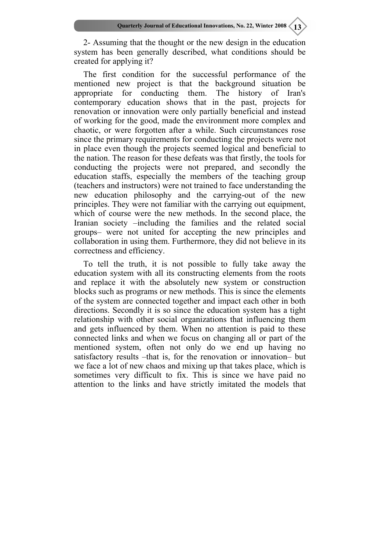2- Assuming that the thought or the new design in the education system has been generally described, what conditions should be created for applying it?

The first condition for the successful performance of the mentioned new project is that the background situation be appropriate for conducting them. The history of Iran's contemporary education shows that in the past, projects for renovation or innovation were only partially beneficial and instead of working for the good, made the environment more complex and chaotic, or were forgotten after a while. Such circumstances rose since the primary requirements for conducting the projects were not in place even though the projects seemed logical and beneficial to the nation. The reason for these defeats was that firstly, the tools for conducting the projects were not prepared, and secondly the education staffs, especially the members of the teaching group (teachers and instructors) were not trained to face understanding the new education philosophy and the carrying-out of the new principles. They were not familiar with the carrying out equipment, which of course were the new methods. In the second place, the Iranian society –including the families and the related social groups– were not united for accepting the new principles and collaboration in using them. Furthermore, they did not believe in its correctness and efficiency.

To tell the truth, it is not possible to fully take away the education system with all its constructing elements from the roots and replace it with the absolutely new system or construction blocks such as programs or new methods. This is since the elements of the system are connected together and impact each other in both directions. Secondly it is so since the education system has a tight relationship with other social organizations that influencing them and gets influenced by them. When no attention is paid to these connected links and when we focus on changing all or part of the mentioned system, often not only do we end up having no satisfactory results –that is, for the renovation or innovation– but we face a lot of new chaos and mixing up that takes place, which is sometimes very difficult to fix. This is since we have paid no attention to the links and have strictly imitated the models that